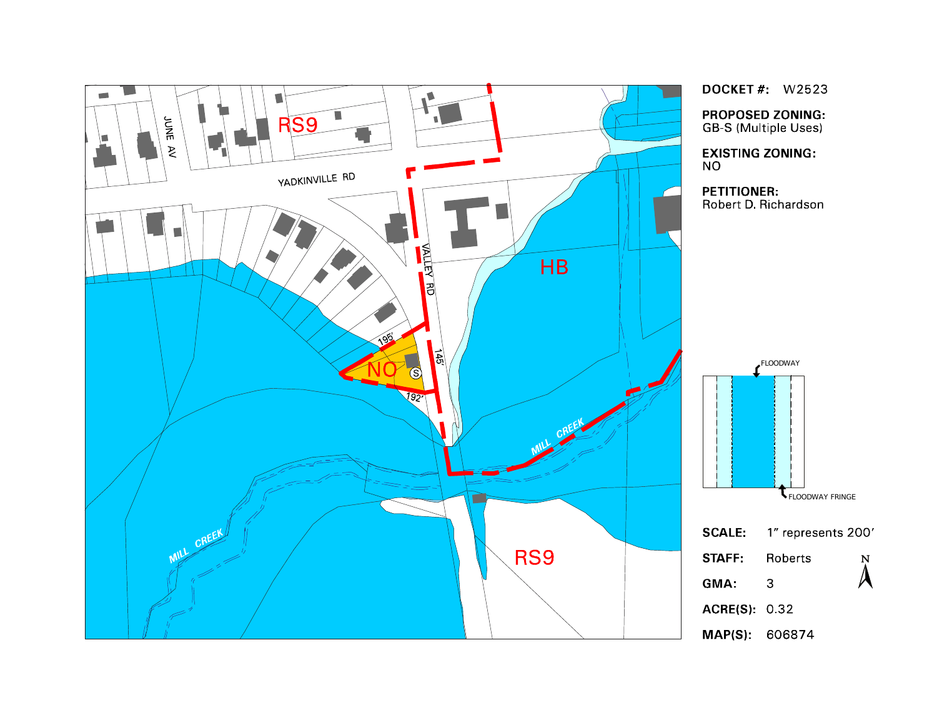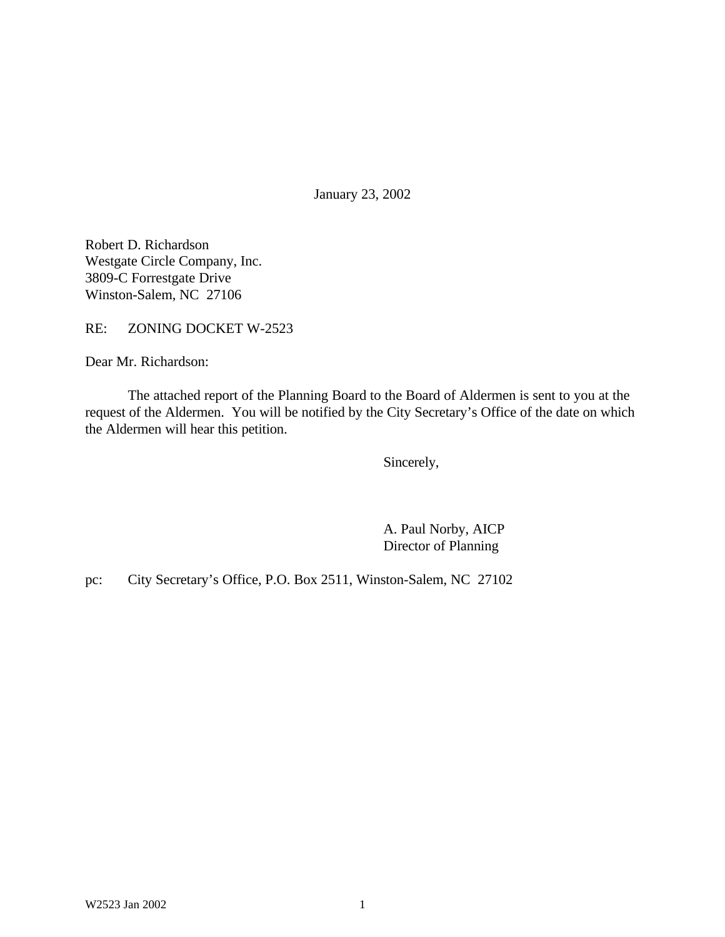January 23, 2002

Robert D. Richardson Westgate Circle Company, Inc. 3809-C Forrestgate Drive Winston-Salem, NC 27106

RE: ZONING DOCKET W-2523

Dear Mr. Richardson:

The attached report of the Planning Board to the Board of Aldermen is sent to you at the request of the Aldermen. You will be notified by the City Secretary's Office of the date on which the Aldermen will hear this petition.

Sincerely,

A. Paul Norby, AICP Director of Planning

pc: City Secretary's Office, P.O. Box 2511, Winston-Salem, NC 27102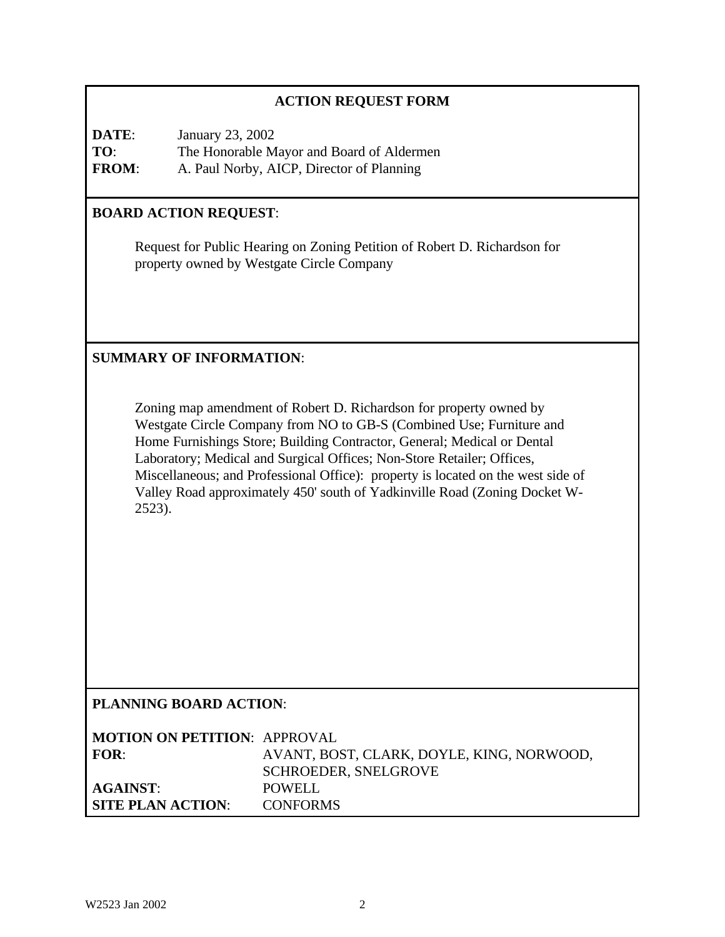# **ACTION REQUEST FORM**

**DATE**: January 23, 2002 **TO**: The Honorable Mayor and Board of Aldermen **FROM**: A. Paul Norby, AICP, Director of Planning

### **BOARD ACTION REQUEST**:

Request for Public Hearing on Zoning Petition of Robert D. Richardson for property owned by Westgate Circle Company

### **SUMMARY OF INFORMATION**:

Zoning map amendment of Robert D. Richardson for property owned by Westgate Circle Company from NO to GB-S (Combined Use; Furniture and Home Furnishings Store; Building Contractor, General; Medical or Dental Laboratory; Medical and Surgical Offices; Non-Store Retailer; Offices, Miscellaneous; and Professional Office): property is located on the west side of Valley Road approximately 450' south of Yadkinville Road (Zoning Docket W-2523).

## **PLANNING BOARD ACTION**:

| <b>MOTION ON PETITION: APPROVAL</b> |                                           |
|-------------------------------------|-------------------------------------------|
| FOR:                                | AVANT, BOST, CLARK, DOYLE, KING, NORWOOD, |
|                                     | <b>SCHROEDER, SNELGROVE</b>               |
| AGAINST:                            | POWELL                                    |
| <b>SITE PLAN ACTION:</b>            | <b>CONFORMS</b>                           |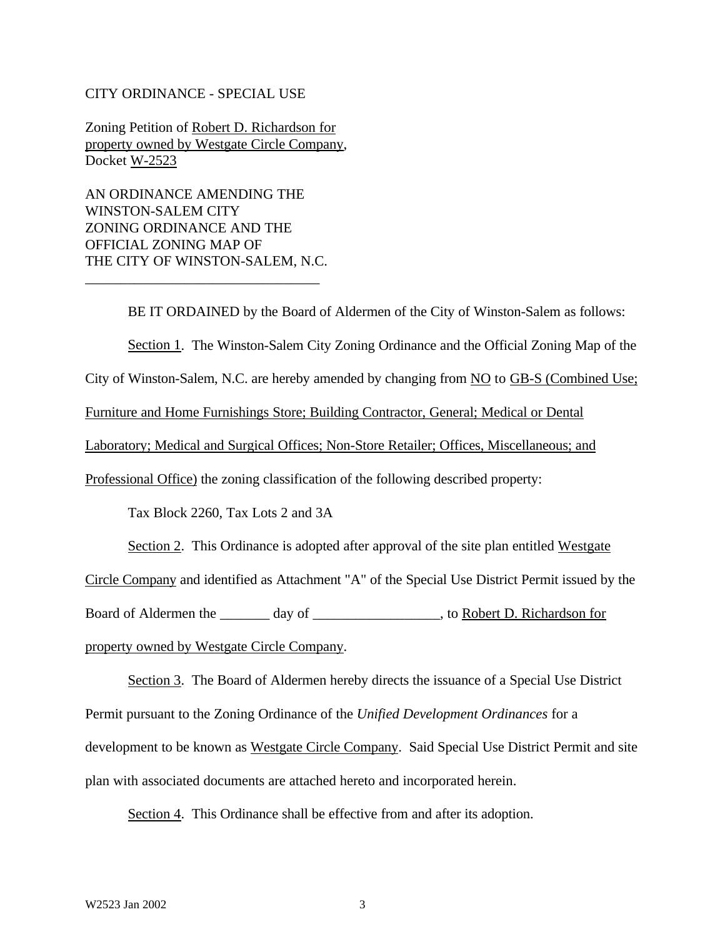#### CITY ORDINANCE - SPECIAL USE

Zoning Petition of Robert D. Richardson for property owned by Westgate Circle Company, Docket W-2523

AN ORDINANCE AMENDING THE WINSTON-SALEM CITY ZONING ORDINANCE AND THE OFFICIAL ZONING MAP OF THE CITY OF WINSTON-SALEM, N.C.

\_\_\_\_\_\_\_\_\_\_\_\_\_\_\_\_\_\_\_\_\_\_\_\_\_\_\_\_\_\_\_\_\_

BE IT ORDAINED by the Board of Aldermen of the City of Winston-Salem as follows: Section 1. The Winston-Salem City Zoning Ordinance and the Official Zoning Map of the City of Winston-Salem, N.C. are hereby amended by changing from NO to GB-S (Combined Use; Furniture and Home Furnishings Store; Building Contractor, General; Medical or Dental Laboratory; Medical and Surgical Offices; Non-Store Retailer; Offices, Miscellaneous; and Professional Office) the zoning classification of the following described property: Tax Block 2260, Tax Lots 2 and 3A Section 2. This Ordinance is adopted after approval of the site plan entitled Westgate

Circle Company and identified as Attachment "A" of the Special Use District Permit issued by the

Board of Aldermen the day of the case of the state of Aldermen the day of the Richardson for the Richardson for

property owned by Westgate Circle Company.

Section 3. The Board of Aldermen hereby directs the issuance of a Special Use District Permit pursuant to the Zoning Ordinance of the *Unified Development Ordinances* for a development to be known as Westgate Circle Company. Said Special Use District Permit and site plan with associated documents are attached hereto and incorporated herein.

Section 4. This Ordinance shall be effective from and after its adoption.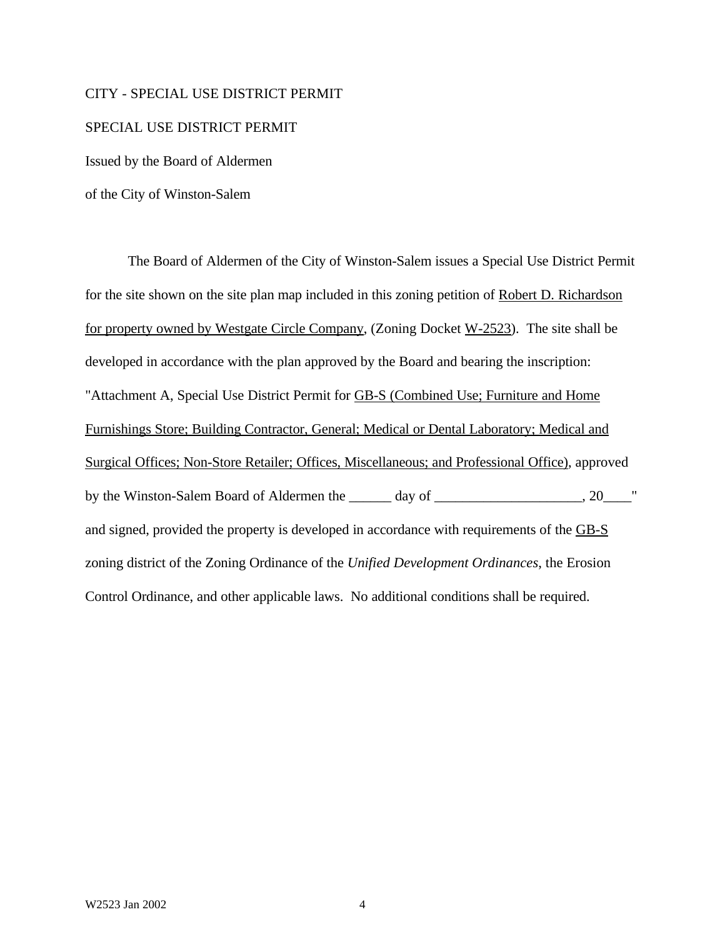#### CITY - SPECIAL USE DISTRICT PERMIT

#### SPECIAL USE DISTRICT PERMIT

Issued by the Board of Aldermen

of the City of Winston-Salem

The Board of Aldermen of the City of Winston-Salem issues a Special Use District Permit for the site shown on the site plan map included in this zoning petition of Robert D. Richardson for property owned by Westgate Circle Company, (Zoning Docket W-2523). The site shall be developed in accordance with the plan approved by the Board and bearing the inscription: "Attachment A, Special Use District Permit for GB-S (Combined Use; Furniture and Home Furnishings Store; Building Contractor, General; Medical or Dental Laboratory; Medical and Surgical Offices; Non-Store Retailer; Offices, Miscellaneous; and Professional Office), approved by the Winston-Salem Board of Aldermen the \_\_\_\_\_\_ day of \_\_\_\_\_\_\_\_\_\_\_\_\_\_\_\_\_\_, 20\_\_\_\_" and signed, provided the property is developed in accordance with requirements of the GB-S zoning district of the Zoning Ordinance of the *Unified Development Ordinances*, the Erosion Control Ordinance, and other applicable laws. No additional conditions shall be required.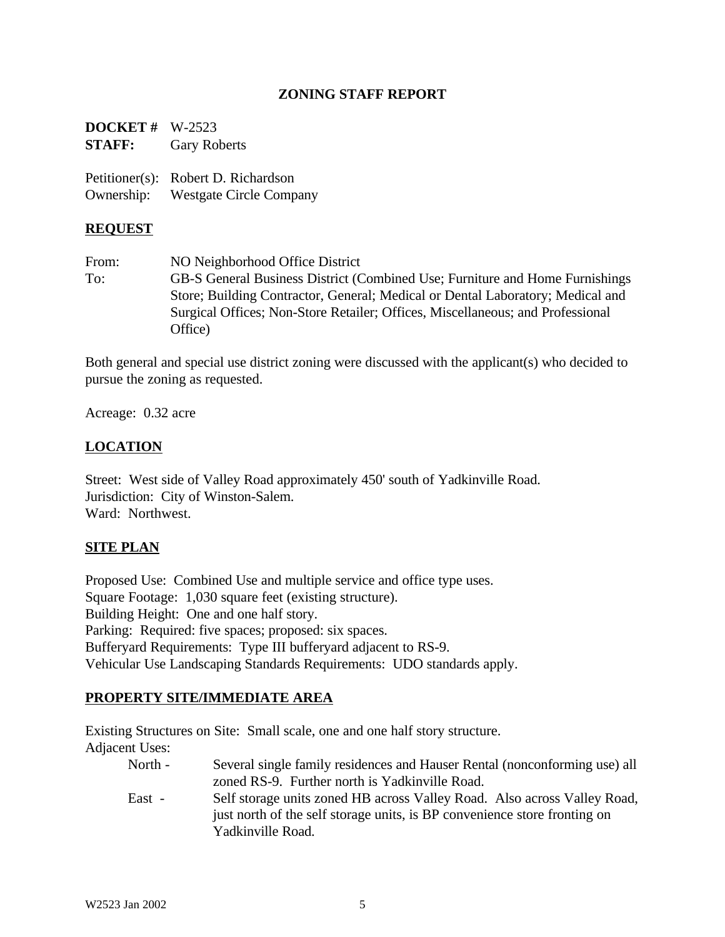### **ZONING STAFF REPORT**

**DOCKET #** W-2523 **STAFF:** Gary Roberts

Petitioner(s): Robert D. Richardson Ownership: Westgate Circle Company

### **REQUEST**

From: NO Neighborhood Office District To: GB-S General Business District (Combined Use; Furniture and Home Furnishings Store; Building Contractor, General; Medical or Dental Laboratory; Medical and Surgical Offices; Non-Store Retailer; Offices, Miscellaneous; and Professional Office)

Both general and special use district zoning were discussed with the applicant(s) who decided to pursue the zoning as requested.

Acreage: 0.32 acre

### **LOCATION**

Street: West side of Valley Road approximately 450' south of Yadkinville Road. Jurisdiction: City of Winston-Salem. Ward: Northwest.

### **SITE PLAN**

Proposed Use: Combined Use and multiple service and office type uses. Square Footage: 1,030 square feet (existing structure). Building Height: One and one half story. Parking: Required: five spaces; proposed: six spaces. Bufferyard Requirements: Type III bufferyard adjacent to RS-9. Vehicular Use Landscaping Standards Requirements: UDO standards apply.

### **PROPERTY SITE/IMMEDIATE AREA**

Existing Structures on Site: Small scale, one and one half story structure.

Adjacent Uses:

| North - | Several single family residences and Hauser Rental (nonconforming use) all |  |  |  |  |  |  |
|---------|----------------------------------------------------------------------------|--|--|--|--|--|--|
|         | zoned RS-9. Further north is Yadkinville Road.                             |  |  |  |  |  |  |
| East -  | Self storage units zoned HB across Valley Road. Also across Valley Road,   |  |  |  |  |  |  |
|         | just north of the self storage units, is BP convenience store fronting on  |  |  |  |  |  |  |
|         | Yadkinville Road.                                                          |  |  |  |  |  |  |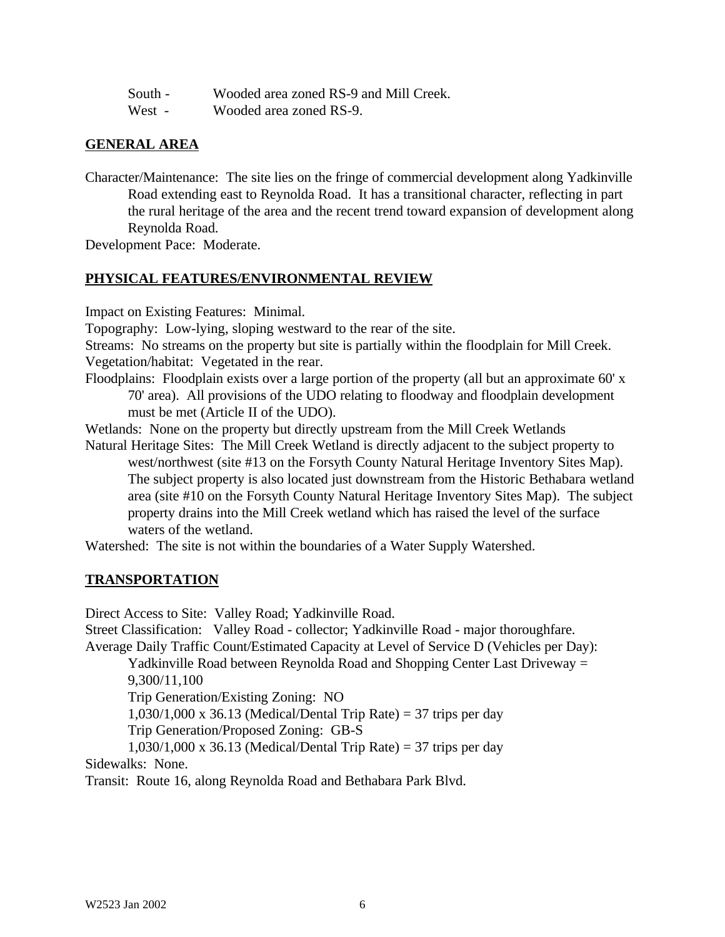| South - |  |  |  |  | Wooded area zoned RS-9 and Mill Creek. |  |
|---------|--|--|--|--|----------------------------------------|--|
|         |  |  |  |  |                                        |  |

West - Wooded area zoned RS-9.

### **GENERAL AREA**

Character/Maintenance: The site lies on the fringe of commercial development along Yadkinville Road extending east to Reynolda Road. It has a transitional character, reflecting in part the rural heritage of the area and the recent trend toward expansion of development along Reynolda Road.

Development Pace: Moderate.

### **PHYSICAL FEATURES/ENVIRONMENTAL REVIEW**

Impact on Existing Features: Minimal.

Topography: Low-lying, sloping westward to the rear of the site.

Streams: No streams on the property but site is partially within the floodplain for Mill Creek. Vegetation/habitat: Vegetated in the rear.

Floodplains: Floodplain exists over a large portion of the property (all but an approximate 60' x 70' area). All provisions of the UDO relating to floodway and floodplain development must be met (Article II of the UDO).

Wetlands: None on the property but directly upstream from the Mill Creek Wetlands

Natural Heritage Sites: The Mill Creek Wetland is directly adjacent to the subject property to west/northwest (site #13 on the Forsyth County Natural Heritage Inventory Sites Map). The subject property is also located just downstream from the Historic Bethabara wetland area (site #10 on the Forsyth County Natural Heritage Inventory Sites Map). The subject property drains into the Mill Creek wetland which has raised the level of the surface waters of the wetland.

Watershed: The site is not within the boundaries of a Water Supply Watershed.

### **TRANSPORTATION**

Direct Access to Site: Valley Road; Yadkinville Road.

Street Classification: Valley Road - collector; Yadkinville Road - major thoroughfare. Average Daily Traffic Count/Estimated Capacity at Level of Service D (Vehicles per Day):

Yadkinville Road between Reynolda Road and Shopping Center Last Driveway = 9,300/11,100

Trip Generation/Existing Zoning: NO

1,030/1,000 x 36.13 (Medical/Dental Trip Rate) = 37 trips per day

Trip Generation/Proposed Zoning: GB-S

 $1,030/1,000 \text{ x } 36.13 \text{ (Medical/Dental Trip Rate)} = 37 \text{ trips per day}$ Sidewalks: None.

Transit: Route 16, along Reynolda Road and Bethabara Park Blvd.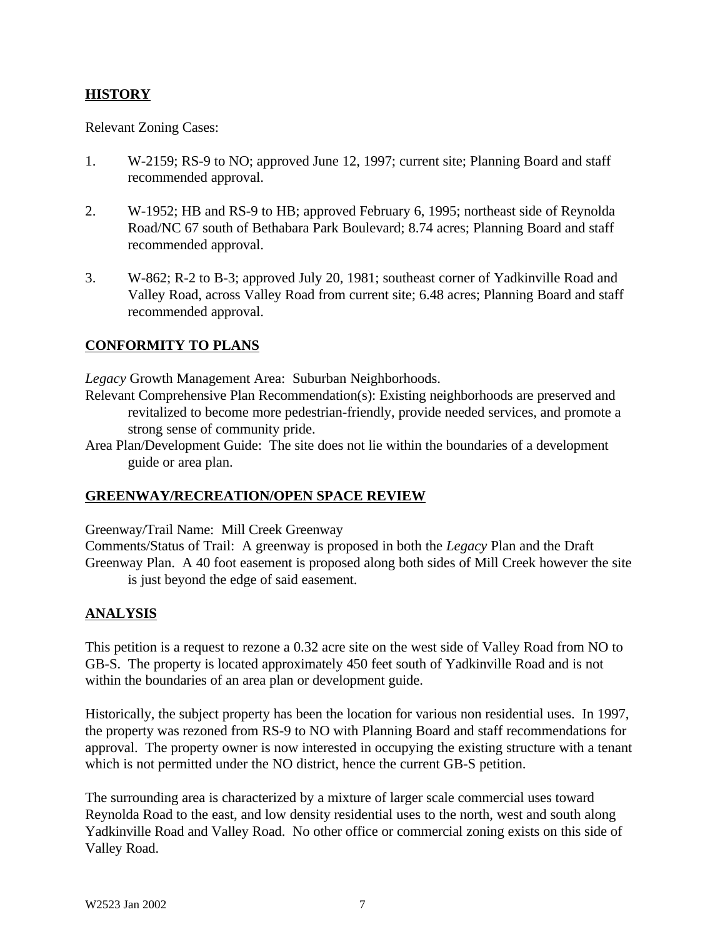## **HISTORY**

Relevant Zoning Cases:

- 1. W-2159; RS-9 to NO; approved June 12, 1997; current site; Planning Board and staff recommended approval.
- 2. W-1952; HB and RS-9 to HB; approved February 6, 1995; northeast side of Reynolda Road/NC 67 south of Bethabara Park Boulevard; 8.74 acres; Planning Board and staff recommended approval.
- 3. W-862; R-2 to B-3; approved July 20, 1981; southeast corner of Yadkinville Road and Valley Road, across Valley Road from current site; 6.48 acres; Planning Board and staff recommended approval.

# **CONFORMITY TO PLANS**

*Legacy* Growth Management Area: Suburban Neighborhoods.

- Relevant Comprehensive Plan Recommendation(s): Existing neighborhoods are preserved and revitalized to become more pedestrian-friendly, provide needed services, and promote a strong sense of community pride.
- Area Plan/Development Guide: The site does not lie within the boundaries of a development guide or area plan.

### **GREENWAY/RECREATION/OPEN SPACE REVIEW**

Greenway/Trail Name: Mill Creek Greenway

Comments/Status of Trail: A greenway is proposed in both the *Legacy* Plan and the Draft Greenway Plan. A 40 foot easement is proposed along both sides of Mill Creek however the site is just beyond the edge of said easement.

### **ANALYSIS**

This petition is a request to rezone a 0.32 acre site on the west side of Valley Road from NO to GB-S. The property is located approximately 450 feet south of Yadkinville Road and is not within the boundaries of an area plan or development guide.

Historically, the subject property has been the location for various non residential uses. In 1997, the property was rezoned from RS-9 to NO with Planning Board and staff recommendations for approval. The property owner is now interested in occupying the existing structure with a tenant which is not permitted under the NO district, hence the current GB-S petition.

The surrounding area is characterized by a mixture of larger scale commercial uses toward Reynolda Road to the east, and low density residential uses to the north, west and south along Yadkinville Road and Valley Road. No other office or commercial zoning exists on this side of Valley Road.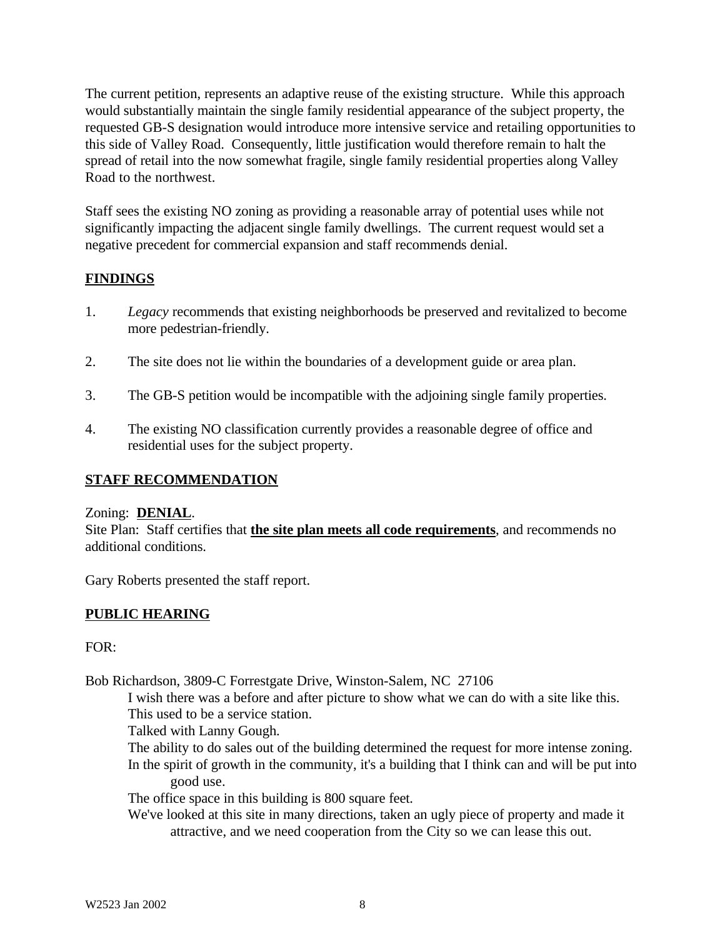The current petition, represents an adaptive reuse of the existing structure. While this approach would substantially maintain the single family residential appearance of the subject property, the requested GB-S designation would introduce more intensive service and retailing opportunities to this side of Valley Road. Consequently, little justification would therefore remain to halt the spread of retail into the now somewhat fragile, single family residential properties along Valley Road to the northwest.

Staff sees the existing NO zoning as providing a reasonable array of potential uses while not significantly impacting the adjacent single family dwellings. The current request would set a negative precedent for commercial expansion and staff recommends denial.

### **FINDINGS**

- 1. *Legacy* recommends that existing neighborhoods be preserved and revitalized to become more pedestrian-friendly.
- 2. The site does not lie within the boundaries of a development guide or area plan.
- 3. The GB-S petition would be incompatible with the adjoining single family properties.
- 4. The existing NO classification currently provides a reasonable degree of office and residential uses for the subject property.

### **STAFF RECOMMENDATION**

### Zoning: **DENIAL**.

Site Plan: Staff certifies that **the site plan meets all code requirements**, and recommends no additional conditions.

Gary Roberts presented the staff report.

### **PUBLIC HEARING**

 $FOR:$ 

Bob Richardson, 3809-C Forrestgate Drive, Winston-Salem, NC 27106

I wish there was a before and after picture to show what we can do with a site like this. This used to be a service station.

Talked with Lanny Gough.

The ability to do sales out of the building determined the request for more intense zoning.

In the spirit of growth in the community, it's a building that I think can and will be put into good use.

The office space in this building is 800 square feet.

We've looked at this site in many directions, taken an ugly piece of property and made it attractive, and we need cooperation from the City so we can lease this out.